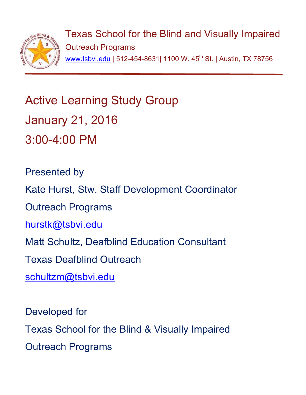

Texas School for the Blind and Visually Impaired Outreach Programs www.tsbvi.edu | 512-454-8631| 1100 W. 45<sup>th</sup> St. | Austin, TX 78756

# Active Learning Study Group January 21, 2016 3:00-4:00 PM

Presented by Kate Hurst, Stw. Staff Development Coordinator Outreach Programs hurstk@tsbvi.edu Matt Schultz, Deafblind Education Consultant Texas Deafblind Outreach schultzm@tsbvi.edu

Developed for Texas School for the Blind & Visually Impaired Outreach Programs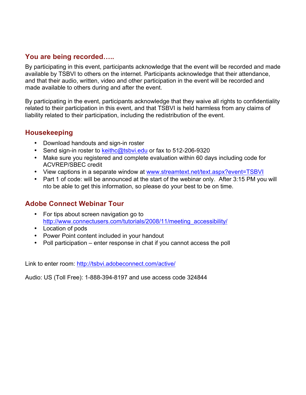### **You are being recorded…..**

By participating in this event, participants acknowledge that the event will be recorded and made available by TSBVI to others on the internet. Participants acknowledge that their attendance, and that their audio, written, video and other participation in the event will be recorded and made available to others during and after the event.

By participating in the event, participants acknowledge that they waive all rights to confidentiality related to their participation in this event, and that TSBVI is held harmless from any claims of liability related to their participation, including the redistribution of the event.

#### **Housekeeping**

- Download handouts and sign-in roster
- Send sign-in roster to keithc@tsbvi.edu or fax to 512-206-9320
- Make sure you registered and complete evaluation within 60 days including code for ACVREP/SBEC credit
- View captions in a separate window at www.streamtext.net/text.aspx?event=TSBVI
- Part 1 of code: will be announced at the start of the webinar only. After 3:15 PM you will nto be able to get this information, so please do your best to be on time.

## **Adobe Connect Webinar Tour**

- For tips about screen navigation go to http://www.connectusers.com/tutorials/2008/11/meeting\_accessibility/
- Location of pods
- Power Point content included in your handout
- Poll participation enter response in chat if you cannot access the poll

Link to enter room: http://tsbvi.adobeconnect.com/active/

Audio: US (Toll Free): 1-888-394-8197 and use access code 324844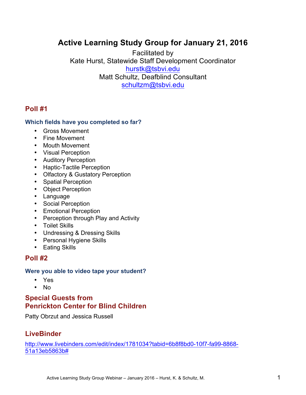# **Active Learning Study Group for January 21, 2016**

Facilitated by Kate Hurst, Statewide Staff Development Coordinator hurstk@tsbvi.edu Matt Schultz, Deafblind Consultant schultzm@tsbvi.edu

#### **Poll #1**

#### **Which fields have you completed so far?**

- Gross Movement
- Fine Movement
- Mouth Movement
- Visual Perception
- Auditory Perception
- Haptic-Tactile Perception
- Olfactory & Gustatory Perception
- Spatial Perception
- Object Perception
- Language
- Social Perception
- Emotional Perception
- Perception through Play and Activity
- Toilet Skills
- Undressing & Dressing Skills
- Personal Hygiene Skills
- Eating Skills

#### **Poll #2**

#### **Were you able to video tape your student?**

- Yes
- No

#### **Special Guests from Penrickton Center for Blind Children**

Patty Obrzut and Jessica Russell

#### **LiveBinder**

http://www.livebinders.com/edit/index/1781034?tabid=6b8f8bd0-10f7-fa99-8868- 51a13eb5863b#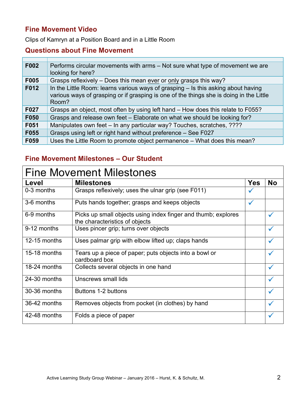## **Fine Movement Video**

Clips of Kamryn at a Position Board and in a Little Room

### **Questions about Fine Movement**

| F002 | Performs circular movements with arms – Not sure what type of movement we are<br>looking for here?                                                                                    |
|------|---------------------------------------------------------------------------------------------------------------------------------------------------------------------------------------|
| F005 | Grasps reflexively – Does this mean ever or only grasps this way?                                                                                                                     |
| F012 | In the Little Room: learns various ways of grasping - Is this asking about having<br>various ways of grasping or if grasping is one of the things she is doing in the Little<br>Room? |
| F027 | Grasps an object, most often by using left hand – How does this relate to F055?                                                                                                       |
| F050 | Grasps and release own feet - Elaborate on what we should be looking for?                                                                                                             |
| F051 | Manipulates own feet - In any particular way? Touches, scratches, ????                                                                                                                |
| F055 | Grasps using left or right hand without preference - See F027                                                                                                                         |
| F059 | Uses the Little Room to promote object permanence – What does this mean?                                                                                                              |

# **Fine Movement Milestones – Our Student**

| <b>Fine Movement Milestones</b> |                                                                                                 |              |           |  |  |  |  |  |  |  |
|---------------------------------|-------------------------------------------------------------------------------------------------|--------------|-----------|--|--|--|--|--|--|--|
| Level                           | <b>Milestones</b>                                                                               | <b>Yes</b>   | <b>No</b> |  |  |  |  |  |  |  |
| 0-3 months                      | Grasps reflexively; uses the ulnar grip (see F011)                                              |              |           |  |  |  |  |  |  |  |
| 3-6 months                      | Puts hands together; grasps and keeps objects                                                   | $\checkmark$ |           |  |  |  |  |  |  |  |
| 6-9 months                      | Picks up small objects using index finger and thumb; explores<br>the characteristics of objects |              |           |  |  |  |  |  |  |  |
| 9-12 months                     | Uses pincer grip; turns over objects                                                            |              |           |  |  |  |  |  |  |  |
| 12-15 months                    | Uses palmar grip with elbow lifted up; claps hands                                              |              |           |  |  |  |  |  |  |  |
| 15-18 months                    | Tears up a piece of paper, puts objects into a bowl or<br>cardboard box                         |              |           |  |  |  |  |  |  |  |
| 18-24 months                    | Collects several objects in one hand                                                            |              |           |  |  |  |  |  |  |  |
| 24-30 months                    | Unscrews small lids                                                                             |              |           |  |  |  |  |  |  |  |
| 30-36 months                    | Buttons 1-2 buttons                                                                             |              |           |  |  |  |  |  |  |  |
| 36-42 months                    | Removes objects from pocket (in clothes) by hand                                                |              |           |  |  |  |  |  |  |  |
| 42-48 months                    | Folds a piece of paper                                                                          |              |           |  |  |  |  |  |  |  |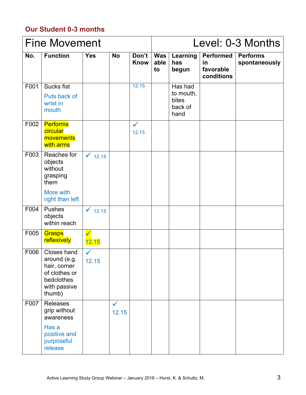# **Our Student 0-3 months**

|      | <b>Fine Movement</b>                                                                                 |                       |                       |                       | Level: 0-3 Months        |                                                  |                                                   |                                  |
|------|------------------------------------------------------------------------------------------------------|-----------------------|-----------------------|-----------------------|--------------------------|--------------------------------------------------|---------------------------------------------------|----------------------------------|
| No.  | <b>Function</b>                                                                                      | <b>Yes</b>            | <b>No</b>             | Don't<br><b>Know</b>  | <b>Was</b><br>able<br>to | Learning<br>has<br>begun                         | <b>Performed</b><br>in<br>favorable<br>conditions | <b>Performs</b><br>spontaneously |
| F001 | <b>Sucks fist</b><br>Puts back of<br>wrist in<br>mouth                                               |                       |                       | 12.15                 |                          | Has had<br>to mouth,<br>bites<br>back of<br>hand |                                                   |                                  |
| F002 | <b>Performs</b><br>circular<br>movements<br>with arms                                                |                       |                       | $\checkmark$<br>12.15 |                          |                                                  |                                                   |                                  |
| F003 | Reaches for<br>objects<br>without<br>grasping<br>them                                                | $\sqrt{12.15}$        |                       |                       |                          |                                                  |                                                   |                                  |
|      | More with<br>right than left                                                                         |                       |                       |                       |                          |                                                  |                                                   |                                  |
| F004 | Pushes<br>objects<br>within reach                                                                    | $\checkmark$ 12.15    |                       |                       |                          |                                                  |                                                   |                                  |
| F005 | Grasps<br>reflexively                                                                                | $\checkmark$<br>12.15 |                       |                       |                          |                                                  |                                                   |                                  |
| F006 | Closes hand<br>around (e.g.<br>hair, corner<br>of clothes or<br>bedclothes<br>with passive<br>thumb) | 12.15                 |                       |                       |                          |                                                  |                                                   |                                  |
| F007 | <b>Releases</b><br>grip without<br>awareness                                                         |                       | $\checkmark$<br>12.15 |                       |                          |                                                  |                                                   |                                  |
|      | Has a<br>positive and<br>purposeful<br>release                                                       |                       |                       |                       |                          |                                                  |                                                   |                                  |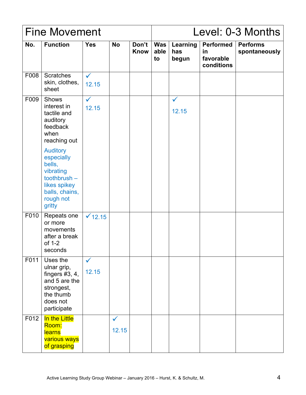|      | <b>Fine Movement</b>                                                                                                                                                                                                       |                       |                       |                      | Level: 0-3 Months |                          |                                                   |                                  |
|------|----------------------------------------------------------------------------------------------------------------------------------------------------------------------------------------------------------------------------|-----------------------|-----------------------|----------------------|-------------------|--------------------------|---------------------------------------------------|----------------------------------|
| No.  | <b>Function</b>                                                                                                                                                                                                            | <b>Yes</b>            | <b>No</b>             | Don't<br><b>Know</b> | Was<br>able<br>to | Learning<br>has<br>begun | <b>Performed</b><br>in<br>favorable<br>conditions | <b>Performs</b><br>spontaneously |
| F008 | <b>Scratches</b><br>skin, clothes,<br>sheet                                                                                                                                                                                | $\checkmark$<br>12.15 |                       |                      |                   |                          |                                                   |                                  |
| F009 | <b>Shows</b><br>interest in<br>tactile and<br>auditory<br>feedback<br>when<br>reaching out<br><b>Auditory</b><br>especially<br>bells,<br>vibrating<br>toothbrush-<br>likes spikey<br>balls, chains,<br>rough not<br>gritty | $\checkmark$<br>12.15 |                       |                      |                   | $\checkmark$<br>12.15    |                                                   |                                  |
| F010 | Repeats one<br>or more<br>movements<br>after a break<br>of 1-2<br>seconds                                                                                                                                                  | $\sqrt{12.15}$        |                       |                      |                   |                          |                                                   |                                  |
| F011 | Uses the<br>ulnar grip,<br>fingers $#3, 4,$<br>and 5 are the<br>strongest,<br>the thumb<br>does not<br>participate                                                                                                         | $\checkmark$<br>12.15 |                       |                      |                   |                          |                                                   |                                  |
| F012 | In the Little<br>Room:<br><b>learns</b><br>various ways<br>of grasping                                                                                                                                                     |                       | $\checkmark$<br>12.15 |                      |                   |                          |                                                   |                                  |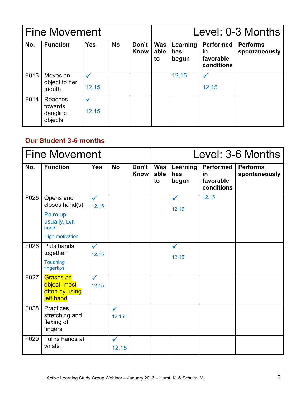| <b>Fine Movement</b> |                                           |            |           |               |                          | Level: 0-3 Months        |                                                          |                                  |  |
|----------------------|-------------------------------------------|------------|-----------|---------------|--------------------------|--------------------------|----------------------------------------------------------|----------------------------------|--|
| No.                  | <b>Function</b>                           | <b>Yes</b> | <b>No</b> | Don't<br>Know | <b>Was</b><br>able<br>to | Learning<br>has<br>begun | <b>Performed</b><br><u>in</u><br>favorable<br>conditions | <b>Performs</b><br>spontaneously |  |
| F013                 | Moves an<br>object to her<br>mouth        | 12.15      |           |               |                          | 12.15                    | 12.15                                                    |                                  |  |
| F014                 | Reaches<br>towards<br>dangling<br>objects | 12.15      |           |               |                          |                          |                                                          |                                  |  |

### **Our Student 3-6 months**

|      | <b>Fine Movement</b>                                                                      |                       |                       | Level: 3-6 Months |                   |                          |                                                   |                                  |
|------|-------------------------------------------------------------------------------------------|-----------------------|-----------------------|-------------------|-------------------|--------------------------|---------------------------------------------------|----------------------------------|
| No.  | <b>Function</b>                                                                           | <b>Yes</b>            | <b>No</b>             | Don't<br>Know     | Was<br>able<br>to | Learning<br>has<br>begun | <b>Performed</b><br>in<br>favorable<br>conditions | <b>Performs</b><br>spontaneously |
| F025 | Opens and<br>closes hand(s)<br>Palm up<br>usually, Left<br>hand<br><b>High motivation</b> | $\checkmark$<br>12.15 |                       |                   |                   | $\checkmark$<br>12.15    | 12.15                                             |                                  |
| F026 | Puts hands<br>together<br><b>Touching</b><br>fingertips                                   | $\checkmark$<br>12.15 |                       |                   |                   | $\checkmark$<br>12.15    |                                                   |                                  |
| F027 | <b>Grasps an</b><br>object, most<br>often by using<br>left hand                           | $\checkmark$<br>12.15 |                       |                   |                   |                          |                                                   |                                  |
| F028 | Practices<br>stretching and<br>flexing of<br>fingers                                      |                       | $\checkmark$<br>12.15 |                   |                   |                          |                                                   |                                  |
| F029 | Turns hands at<br>wrists                                                                  |                       | ✓<br>12.15            |                   |                   |                          |                                                   |                                  |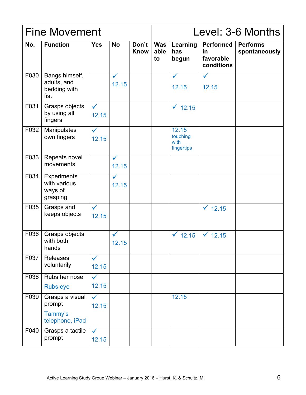|      | <b>Fine Movement</b>                                      |                       |                       |                      |                   | Level: 3-6 Months                       |                                            |                                  |  |
|------|-----------------------------------------------------------|-----------------------|-----------------------|----------------------|-------------------|-----------------------------------------|--------------------------------------------|----------------------------------|--|
| No.  | <b>Function</b>                                           | <b>Yes</b>            | <b>No</b>             | Don't<br><b>Know</b> | Was<br>able<br>to | Learning<br>has<br>begun                | Performed<br>in<br>favorable<br>conditions | <b>Performs</b><br>spontaneously |  |
| F030 | Bangs himself,<br>adults, and<br>bedding with<br>fist     |                       | $\checkmark$<br>12.15 |                      |                   | $\checkmark$<br>12.15                   | $\checkmark$<br>12.15                      |                                  |  |
| F031 | Grasps objects<br>by using all<br>fingers                 | $\checkmark$<br>12.15 |                       |                      |                   | $\times$ 12.15                          |                                            |                                  |  |
| F032 | Manipulates<br>own fingers                                | $\checkmark$<br>12.15 |                       |                      |                   | 12.15<br>touching<br>with<br>fingertips |                                            |                                  |  |
| F033 | Repeats novel<br>movements                                |                       | $\checkmark$<br>12.15 |                      |                   |                                         |                                            |                                  |  |
| F034 | <b>Experiments</b><br>with various<br>ways of<br>grasping |                       | $\checkmark$<br>12.15 |                      |                   |                                         |                                            |                                  |  |
| F035 | Grasps and<br>keeps objects                               | $\checkmark$<br>12.15 |                       |                      |                   |                                         | $\times$ 12.15                             |                                  |  |
| F036 | Grasps objects<br>with both<br>hands                      |                       | $\checkmark$<br>12.15 |                      |                   | $\checkmark$ 12.15                      | $\times$ 12.15                             |                                  |  |
| F037 | Releases<br>voluntarily                                   | $\checkmark$<br>12.15 |                       |                      |                   |                                         |                                            |                                  |  |
| F038 | Rubs her nose<br><b>Rubs eye</b>                          | $\checkmark$<br>12.15 |                       |                      |                   |                                         |                                            |                                  |  |
| F039 | Grasps a visual<br>prompt<br>Tammy's<br>telephone, iPad   | $\checkmark$<br>12.15 |                       |                      |                   | 12.15                                   |                                            |                                  |  |
| F040 | Grasps a tactile<br>prompt                                | $\checkmark$<br>12.15 |                       |                      |                   |                                         |                                            |                                  |  |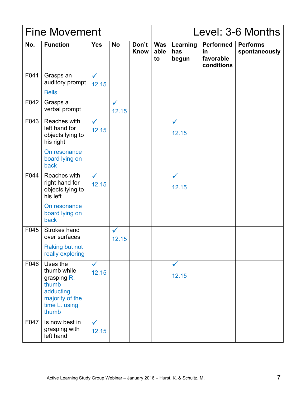|      | <b>Fine Movement</b>                                                                                      |                       |                       |                      |                   | Level: 3-6 Months        |                                                   |                                  |  |
|------|-----------------------------------------------------------------------------------------------------------|-----------------------|-----------------------|----------------------|-------------------|--------------------------|---------------------------------------------------|----------------------------------|--|
| No.  | <b>Function</b>                                                                                           | <b>Yes</b>            | <b>No</b>             | Don't<br><b>Know</b> | Was<br>able<br>to | Learning<br>has<br>begun | <b>Performed</b><br>in<br>favorable<br>conditions | <b>Performs</b><br>spontaneously |  |
| F041 | Grasps an<br>auditory prompt<br><b>Bells</b>                                                              | $\checkmark$<br>12.15 |                       |                      |                   |                          |                                                   |                                  |  |
| F042 | Grasps a<br>verbal prompt                                                                                 |                       | $\checkmark$<br>12.15 |                      |                   |                          |                                                   |                                  |  |
| F043 | Reaches with<br>left hand for<br>objects lying to<br>his right                                            | $\checkmark$<br>12.15 |                       |                      |                   | $\checkmark$<br>12.15    |                                                   |                                  |  |
|      | On resonance<br>board lying on<br>back                                                                    |                       |                       |                      |                   |                          |                                                   |                                  |  |
| F044 | Reaches with<br>right hand for<br>objects lying to<br>his left                                            | $\checkmark$<br>12.15 |                       |                      |                   | $\checkmark$<br>12.15    |                                                   |                                  |  |
|      | On resonance<br>board lying on<br>back                                                                    |                       |                       |                      |                   |                          |                                                   |                                  |  |
| F045 | Strokes hand<br>over surfaces                                                                             |                       | $\checkmark$<br>12.15 |                      |                   |                          |                                                   |                                  |  |
|      | Raking but not<br>really exploring                                                                        |                       |                       |                      |                   |                          |                                                   |                                  |  |
| F046 | Uses the<br>thumb while<br>grasping R.<br>thumb<br>adducting<br>majority of the<br>time L. using<br>thumb | $\checkmark$<br>12.15 |                       |                      |                   | $\checkmark$<br>12.15    |                                                   |                                  |  |
| F047 | Is now best in<br>grasping with<br>left hand                                                              | $\checkmark$<br>12.15 |                       |                      |                   |                          |                                                   |                                  |  |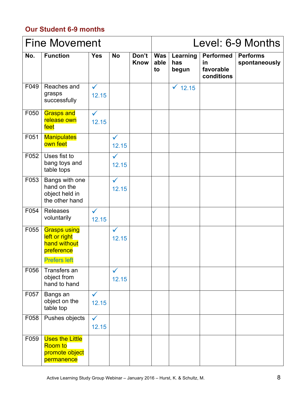# **Our Student 6-9 months**

|      | <b>Fine Movement</b>                                                                      |                       |                       |                      | Level: 6-9 Months        |                          |                                                    |                                  |  |
|------|-------------------------------------------------------------------------------------------|-----------------------|-----------------------|----------------------|--------------------------|--------------------------|----------------------------------------------------|----------------------------------|--|
| No.  | <b>Function</b>                                                                           | <b>Yes</b>            | <b>No</b>             | Don't<br><b>Know</b> | <b>Was</b><br>able<br>to | Learning<br>has<br>begun | <b>Performed</b><br>in.<br>favorable<br>conditions | <b>Performs</b><br>spontaneously |  |
| F049 | Reaches and<br>grasps<br>successfully                                                     | $\checkmark$<br>12.15 |                       |                      |                          | $\times$ 12.15           |                                                    |                                  |  |
| F050 | <b>Grasps and</b><br>release own<br>feet                                                  | $\checkmark$<br>12.15 |                       |                      |                          |                          |                                                    |                                  |  |
| F051 | <b>Manipulates</b><br>own feet                                                            |                       | $\checkmark$<br>12.15 |                      |                          |                          |                                                    |                                  |  |
| F052 | Uses fist to<br>bang toys and<br>table tops                                               |                       | $\checkmark$<br>12.15 |                      |                          |                          |                                                    |                                  |  |
| F053 | Bangs with one<br>hand on the<br>object held in<br>the other hand                         |                       | $\checkmark$<br>12.15 |                      |                          |                          |                                                    |                                  |  |
| F054 | <b>Releases</b><br>voluntarily                                                            | $\checkmark$<br>12.15 |                       |                      |                          |                          |                                                    |                                  |  |
| F055 | <b>Grasps using</b><br>left or right<br>hand without<br>preference<br><b>Prefers left</b> |                       | $\checkmark$<br>12.15 |                      |                          |                          |                                                    |                                  |  |
| F056 | Transfers an<br>object from<br>hand to hand                                               |                       | $\checkmark$<br>12.15 |                      |                          |                          |                                                    |                                  |  |
| F057 | Bangs an<br>object on the<br>table top                                                    | $\checkmark$<br>12.15 |                       |                      |                          |                          |                                                    |                                  |  |
| F058 | Pushes objects                                                                            | $\checkmark$<br>12.15 |                       |                      |                          |                          |                                                    |                                  |  |
| F059 | <b>Uses the Little</b><br>Room to<br>promote object<br>permanence                         |                       |                       |                      |                          |                          |                                                    |                                  |  |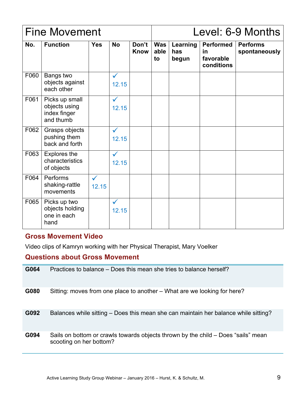|      | <b>Fine Movement</b>                                         |                       |                       |                      |                   | Level: 6-9 Months        |                                                          |                                  |  |
|------|--------------------------------------------------------------|-----------------------|-----------------------|----------------------|-------------------|--------------------------|----------------------------------------------------------|----------------------------------|--|
| No.  | <b>Function</b>                                              | <b>Yes</b>            | <b>No</b>             | Don't<br><b>Know</b> | Was<br>able<br>to | Learning<br>has<br>begun | <b>Performed</b><br><u>in</u><br>favorable<br>conditions | <b>Performs</b><br>spontaneously |  |
| F060 | Bangs two<br>objects against<br>each other                   |                       | $\checkmark$<br>12.15 |                      |                   |                          |                                                          |                                  |  |
| F061 | Picks up small<br>objects using<br>index finger<br>and thumb |                       | $\checkmark$<br>12.15 |                      |                   |                          |                                                          |                                  |  |
| F062 | Grasps objects<br>pushing them<br>back and forth             |                       | $\checkmark$<br>12.15 |                      |                   |                          |                                                          |                                  |  |
| F063 | <b>Explores the</b><br>characteristics<br>of objects         |                       | $\checkmark$<br>12.15 |                      |                   |                          |                                                          |                                  |  |
| F064 | Performs<br>shaking-rattle<br>movements                      | $\checkmark$<br>12.15 |                       |                      |                   |                          |                                                          |                                  |  |
| F065 | Picks up two<br>objects holding<br>one in each<br>hand       |                       | $\checkmark$<br>12.15 |                      |                   |                          |                                                          |                                  |  |

#### **Gross Movement Video**

Video clips of Kamryn working with her Physical Therapist, Mary Voelker

## **Questions about Gross Movement**

| G064 | Practices to balance – Does this mean she tries to balance herself?                                          |
|------|--------------------------------------------------------------------------------------------------------------|
| G080 | Sitting: moves from one place to another – What are we looking for here?                                     |
| G092 | Balances while sitting – Does this mean she can maintain her balance while sitting?                          |
| G094 | Sails on bottom or crawls towards objects thrown by the child – Does "sails" mean<br>scooting on her bottom? |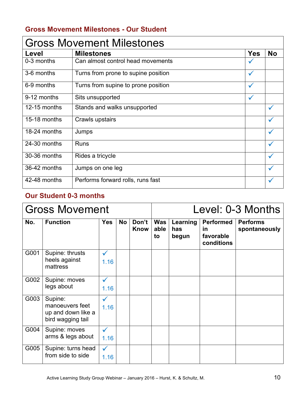# **Gross Movement Milestones - Our Student**

| <b>Gross Movement Milestones</b> |                                     |              |           |  |  |  |  |  |  |
|----------------------------------|-------------------------------------|--------------|-----------|--|--|--|--|--|--|
| Level                            | <b>Milestones</b>                   | <b>Yes</b>   | <b>No</b> |  |  |  |  |  |  |
| 0-3 months                       | Can almost control head movements   |              |           |  |  |  |  |  |  |
| 3-6 months                       | Turns from prone to supine position | $\checkmark$ |           |  |  |  |  |  |  |
| 6-9 months                       | Turns from supine to prone position | $\checkmark$ |           |  |  |  |  |  |  |
| 9-12 months                      | Sits unsupported                    |              |           |  |  |  |  |  |  |
| 12-15 months                     | Stands and walks unsupported        |              |           |  |  |  |  |  |  |
| 15-18 months                     | Crawls upstairs                     |              |           |  |  |  |  |  |  |
| 18-24 months                     | Jumps                               |              |           |  |  |  |  |  |  |
| 24-30 months                     | <b>Runs</b>                         |              |           |  |  |  |  |  |  |
| 30-36 months                     | Rides a tricycle                    |              |           |  |  |  |  |  |  |
| 36-42 months                     | Jumps on one leg                    |              |           |  |  |  |  |  |  |
| 42-48 months                     | Performs forward rolls, runs fast   |              |           |  |  |  |  |  |  |

# **Our Student 0-3 months**

|      | <b>Gross Movement</b>                                                 |                      |           |               | Level: 0-3 Months<br>Was<br>Learning<br><b>Performed</b><br><b>Performs</b><br>able<br>spontaneously<br>has<br><u>in</u><br>favorable<br>begun<br>to<br>conditions |  |  |
|------|-----------------------------------------------------------------------|----------------------|-----------|---------------|--------------------------------------------------------------------------------------------------------------------------------------------------------------------|--|--|
| No.  | <b>Function</b>                                                       | <b>Yes</b>           | <b>No</b> | Don't<br>Know |                                                                                                                                                                    |  |  |
| G001 | Supine: thrusts<br>heels against<br>mattress                          | 1.16                 |           |               |                                                                                                                                                                    |  |  |
| G002 | Supine: moves<br>legs about                                           | $\checkmark$<br>1.16 |           |               |                                                                                                                                                                    |  |  |
| G003 | Supine:<br>manoeuvers feet<br>up and down like a<br>bird wagging tail | $\checkmark$<br>1.16 |           |               |                                                                                                                                                                    |  |  |
| G004 | Supine: moves<br>arms & legs about                                    | $\checkmark$<br>1.16 |           |               |                                                                                                                                                                    |  |  |
| G005 | Supine: turns head<br>from side to side                               | $\checkmark$<br>1.16 |           |               |                                                                                                                                                                    |  |  |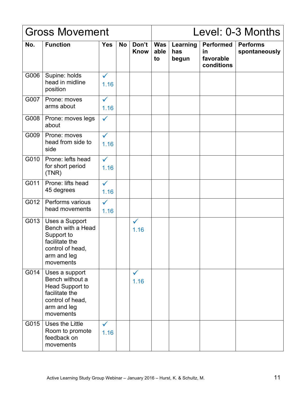|      | <b>Gross Movement</b>                                                                                                  |                      |           |                      |                          |                          |                                                          | Level: 0-3 Months                |
|------|------------------------------------------------------------------------------------------------------------------------|----------------------|-----------|----------------------|--------------------------|--------------------------|----------------------------------------------------------|----------------------------------|
| No.  | <b>Function</b>                                                                                                        | <b>Yes</b>           | <b>No</b> | Don't<br>Know        | <b>Was</b><br>able<br>to | Learning<br>has<br>begun | <b>Performed</b><br><u>in</u><br>favorable<br>conditions | <b>Performs</b><br>spontaneously |
| G006 | Supine: holds<br>head in midline<br>position                                                                           | $\checkmark$<br>1.16 |           |                      |                          |                          |                                                          |                                  |
| G007 | Prone: moves<br>arms about                                                                                             | $\checkmark$<br>1.16 |           |                      |                          |                          |                                                          |                                  |
| G008 | Prone: moves legs<br>about                                                                                             | $\checkmark$         |           |                      |                          |                          |                                                          |                                  |
| G009 | Prone: moves<br>head from side to<br>side                                                                              | $\checkmark$<br>1.16 |           |                      |                          |                          |                                                          |                                  |
| G010 | Prone: lefts head<br>for short period<br>(TNR)                                                                         | $\checkmark$<br>1.16 |           |                      |                          |                          |                                                          |                                  |
| G011 | Prone: lifts head<br>45 degrees                                                                                        | $\checkmark$<br>1.16 |           |                      |                          |                          |                                                          |                                  |
| G012 | Performs various<br>head movements                                                                                     | $\checkmark$<br>1.16 |           |                      |                          |                          |                                                          |                                  |
| G013 | Uses a Support<br>Bench with a Head<br>Support to<br>facilitate the<br>control of head,<br>arm and leg<br>movements    |                      |           | $\checkmark$<br>1.16 |                          |                          |                                                          |                                  |
| G014 | Uses a support<br>Bench without a<br>Head Support to<br>facilitate the<br>control of head,<br>arm and leg<br>movements |                      |           | $\checkmark$<br>1.16 |                          |                          |                                                          |                                  |
| G015 | Uses the Little<br>Room to promote<br>feedback on<br>movements                                                         | $\checkmark$<br>1.16 |           |                      |                          |                          |                                                          |                                  |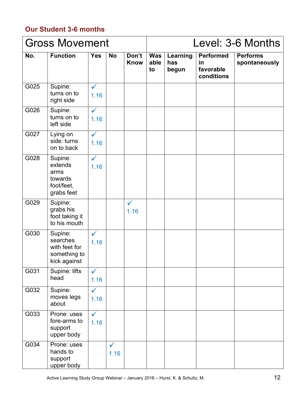# **Our Student 3-6 months**

|      | <b>Gross Movement</b>                                                |                      |                      |                      |                          |                          |                                                   | Level: 3-6 Months                |
|------|----------------------------------------------------------------------|----------------------|----------------------|----------------------|--------------------------|--------------------------|---------------------------------------------------|----------------------------------|
| No.  | <b>Function</b>                                                      | <b>Yes</b>           | <b>No</b>            | Don't<br><b>Know</b> | <b>Was</b><br>able<br>to | Learning<br>has<br>begun | <b>Performed</b><br>in<br>favorable<br>conditions | <b>Performs</b><br>spontaneously |
| G025 | Supine:<br>turns on to<br>right side                                 | $\checkmark$<br>1.16 |                      |                      |                          |                          |                                                   |                                  |
| G026 | Supine:<br>turns on to<br>left side                                  | $\checkmark$<br>1.16 |                      |                      |                          |                          |                                                   |                                  |
| G027 | Lying on<br>side: turns<br>on to back                                | $\checkmark$<br>1.16 |                      |                      |                          |                          |                                                   |                                  |
| G028 | Supine:<br>extends<br>arms<br>towards<br>foot/feet,<br>grabs feet    | $\checkmark$<br>1.16 |                      |                      |                          |                          |                                                   |                                  |
| G029 | Supine:<br>grabs his<br>foot taking it<br>to his mouth               |                      |                      | $\checkmark$<br>1.16 |                          |                          |                                                   |                                  |
| G030 | Supine:<br>searches<br>with feet for<br>something to<br>kick against | $\checkmark$<br>1.16 |                      |                      |                          |                          |                                                   |                                  |
| G031 | Supine: lifts<br>head                                                | $\checkmark$<br>1.16 |                      |                      |                          |                          |                                                   |                                  |
| G032 | Supine:<br>moves legs<br>about                                       | $\checkmark$<br>1.16 |                      |                      |                          |                          |                                                   |                                  |
| G033 | Prone: uses<br>fore-arms to<br>support<br>upper body                 | $\checkmark$<br>1.16 |                      |                      |                          |                          |                                                   |                                  |
| G034 | Prone: uses<br>hands to<br>support<br>upper body                     |                      | $\checkmark$<br>1.16 |                      |                          |                          |                                                   |                                  |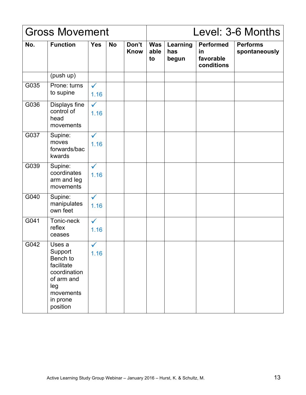|      | <b>Gross Movement</b>                                                                                                 |                      |           |                      |                          |                          |                                                   | Level: 3-6 Months                |
|------|-----------------------------------------------------------------------------------------------------------------------|----------------------|-----------|----------------------|--------------------------|--------------------------|---------------------------------------------------|----------------------------------|
| No.  | <b>Function</b>                                                                                                       | <b>Yes</b>           | <b>No</b> | Don't<br><b>Know</b> | <b>Was</b><br>able<br>to | Learning<br>has<br>begun | <b>Performed</b><br>in<br>favorable<br>conditions | <b>Performs</b><br>spontaneously |
|      | (push up)                                                                                                             |                      |           |                      |                          |                          |                                                   |                                  |
| G035 | Prone: turns<br>to supine                                                                                             | $\checkmark$<br>1.16 |           |                      |                          |                          |                                                   |                                  |
| G036 | Displays fine<br>control of<br>head<br>movements                                                                      | $\checkmark$<br>1.16 |           |                      |                          |                          |                                                   |                                  |
| G037 | Supine:<br>moves<br>forwards/bac<br>kwards                                                                            | $\checkmark$<br>1.16 |           |                      |                          |                          |                                                   |                                  |
| G039 | Supine:<br>coordinates<br>arm and leg<br>movements                                                                    | $\checkmark$<br>1.16 |           |                      |                          |                          |                                                   |                                  |
| G040 | Supine:<br>manipulates<br>own feet                                                                                    | $\checkmark$<br>1.16 |           |                      |                          |                          |                                                   |                                  |
| G041 | Tonic-neck<br>reflex<br>ceases                                                                                        | $\checkmark$<br>1.16 |           |                      |                          |                          |                                                   |                                  |
| G042 | Uses a<br>Support<br>Bench to<br>facilitate<br>coordination<br>of arm and<br>leg<br>movements<br>in prone<br>position | $\checkmark$<br>1.16 |           |                      |                          |                          |                                                   |                                  |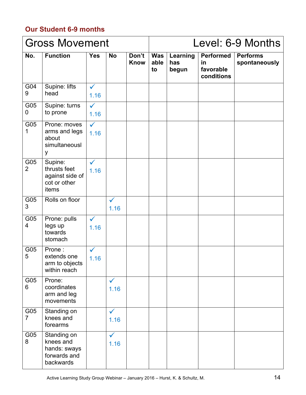# **Our Student 6-9 months**

|                       | <b>Gross Movement</b>                                                 |                      |                      |                      |                   | Level: 6-9 Months<br>Learning<br><b>Performed</b><br><b>Performs</b><br>spontaneously<br>has<br>in<br>favorable<br>begun<br>conditions |  |  |
|-----------------------|-----------------------------------------------------------------------|----------------------|----------------------|----------------------|-------------------|----------------------------------------------------------------------------------------------------------------------------------------|--|--|
| No.                   | <b>Function</b>                                                       | <b>Yes</b>           | <b>No</b>            | Don't<br><b>Know</b> | Was<br>able<br>to |                                                                                                                                        |  |  |
| G04<br>9              | Supine: lifts<br>head                                                 | $\checkmark$<br>1.16 |                      |                      |                   |                                                                                                                                        |  |  |
| G05<br>0              | Supine: turns<br>to prone                                             | $\checkmark$<br>1.16 |                      |                      |                   |                                                                                                                                        |  |  |
| G05<br>1              | Prone: moves<br>arms and legs<br>about<br>simultaneousl<br>y          | $\checkmark$<br>1.16 |                      |                      |                   |                                                                                                                                        |  |  |
| G05<br>$\overline{2}$ | Supine:<br>thrusts feet<br>against side of<br>cot or other<br>items   | $\checkmark$<br>1.16 |                      |                      |                   |                                                                                                                                        |  |  |
| G05<br>3              | Rolls on floor                                                        |                      | $\checkmark$<br>1.16 |                      |                   |                                                                                                                                        |  |  |
| G05<br>4              | Prone: pulls<br>legs up<br>towards<br>stomach                         | $\checkmark$<br>1.16 |                      |                      |                   |                                                                                                                                        |  |  |
| G05<br>5              | Prone:<br>extends one<br>arm to objects<br>within reach               | 1.16                 |                      |                      |                   |                                                                                                                                        |  |  |
| G05<br>6              | Prone:<br>coordinates<br>arm and leg<br>movements                     |                      | $\checkmark$<br>1.16 |                      |                   |                                                                                                                                        |  |  |
| G05<br>$\overline{7}$ | Standing on<br>knees and<br>forearms                                  |                      | $\checkmark$<br>1.16 |                      |                   |                                                                                                                                        |  |  |
| G05<br>8              | Standing on<br>knees and<br>hands: sways<br>forwards and<br>backwards |                      | $\checkmark$<br>1.16 |                      |                   |                                                                                                                                        |  |  |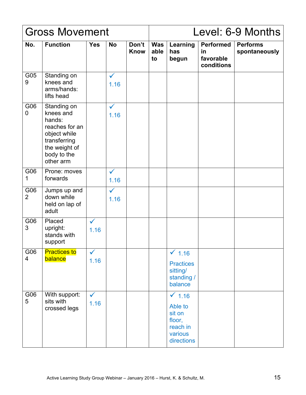|                       | <b>Gross Movement</b>                                                                                                             |                      |                      |                      |                          | Level: 6-9 Months<br><b>Performs</b><br>Learning<br><b>Performed</b><br>has<br>spontaneously<br>in<br>favorable<br>begun<br>conditions |  |  |
|-----------------------|-----------------------------------------------------------------------------------------------------------------------------------|----------------------|----------------------|----------------------|--------------------------|----------------------------------------------------------------------------------------------------------------------------------------|--|--|
| No.                   | <b>Function</b>                                                                                                                   | <b>Yes</b>           | <b>No</b>            | Don't<br><b>Know</b> | <b>Was</b><br>able<br>to |                                                                                                                                        |  |  |
| G05<br>9              | Standing on<br>knees and<br>arms/hands:<br>lifts head                                                                             |                      | $\checkmark$<br>1.16 |                      |                          |                                                                                                                                        |  |  |
| G06<br>0              | Standing on<br>knees and<br>hands:<br>reaches for an<br>object while<br>transferring<br>the weight of<br>body to the<br>other arm |                      | $\checkmark$<br>1.16 |                      |                          |                                                                                                                                        |  |  |
| G06<br>1              | Prone: moves<br>forwards                                                                                                          |                      | $\checkmark$<br>1.16 |                      |                          |                                                                                                                                        |  |  |
| G06<br>$\overline{2}$ | Jumps up and<br>down while<br>held on lap of<br>adult                                                                             |                      | $\checkmark$<br>1.16 |                      |                          |                                                                                                                                        |  |  |
| G06<br>3              | Placed<br>upright:<br>stands with<br>support                                                                                      | $\checkmark$<br>1.16 |                      |                      |                          |                                                                                                                                        |  |  |
| G06<br>4              | <b>Practices to</b><br>balance                                                                                                    | $\checkmark$<br>1.16 |                      |                      |                          | $\checkmark$ 1.16<br><b>Practices</b><br>sitting/<br>standing /<br>balance                                                             |  |  |
| G06<br>5              | With support:<br>sits with<br>crossed legs                                                                                        | $\checkmark$<br>1.16 |                      |                      |                          | $\times$ 1.16<br>Able to<br>sit on<br>floor,<br>reach in<br>various<br>directions                                                      |  |  |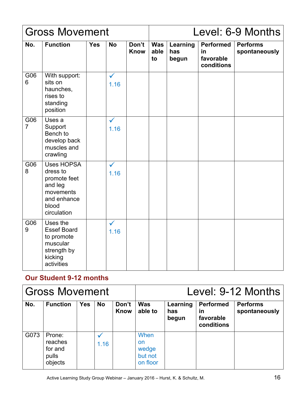|                       | <b>Gross Movement</b>                                                                                        |            |                      |                      |                          |                          |                                                   | Level: 6-9 Months                |
|-----------------------|--------------------------------------------------------------------------------------------------------------|------------|----------------------|----------------------|--------------------------|--------------------------|---------------------------------------------------|----------------------------------|
| No.                   | <b>Function</b>                                                                                              | <b>Yes</b> | <b>No</b>            | Don't<br><b>Know</b> | <b>Was</b><br>able<br>to | Learning<br>has<br>begun | <b>Performed</b><br>in<br>favorable<br>conditions | <b>Performs</b><br>spontaneously |
| G06<br>6              | With support:<br>sits on<br>haunches,<br>rises to<br>standing<br>position                                    |            | $\checkmark$<br>1.16 |                      |                          |                          |                                                   |                                  |
| G06<br>$\overline{7}$ | Uses a<br>Support<br>Bench to<br>develop back<br>muscles and<br>crawling                                     |            | $\checkmark$<br>1.16 |                      |                          |                          |                                                   |                                  |
| G06<br>8              | <b>Uses HOPSA</b><br>dress to<br>promote feet<br>and leg<br>movements<br>and enhance<br>blood<br>circulation |            | $\checkmark$<br>1.16 |                      |                          |                          |                                                   |                                  |
| G06<br>9              | Uses the<br><b>Essef Board</b><br>to promote<br>muscular<br>strength by<br>kicking<br>activities             |            | $\checkmark$<br>1.16 |                      |                          |                          |                                                   |                                  |

## **Our Student 9-12 months**

|      | <b>Gross Movement</b>                            |            |           |                      |                                                   | Level: 9-12 Months<br><b>Performed</b><br>Learning<br><b>Performs</b><br>spontaneously<br>has<br>in<br>favorable<br>begun<br>conditions |  |  |
|------|--------------------------------------------------|------------|-----------|----------------------|---------------------------------------------------|-----------------------------------------------------------------------------------------------------------------------------------------|--|--|
| No.  | <b>Function</b>                                  | <b>Yes</b> | <b>No</b> | Don't<br><b>Know</b> | <b>Was</b><br>able to                             |                                                                                                                                         |  |  |
| G073 | Prone:<br>reaches<br>for and<br>pulls<br>objects |            | 1.16      |                      | When<br><b>on</b><br>wedge<br>but not<br>on floor |                                                                                                                                         |  |  |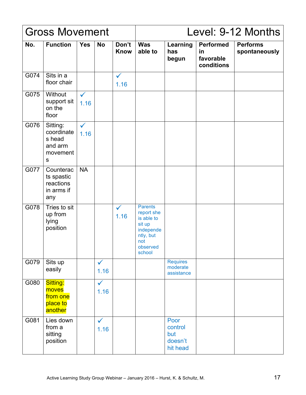|      | <b>Gross Movement</b>                                                    |                      |                      |                      |                                                                                                             |                                               |                                                   | Level: 9-12 Months               |
|------|--------------------------------------------------------------------------|----------------------|----------------------|----------------------|-------------------------------------------------------------------------------------------------------------|-----------------------------------------------|---------------------------------------------------|----------------------------------|
| No.  | <b>Function</b>                                                          | <b>Yes</b>           | <b>No</b>            | Don't<br><b>Know</b> | <b>Was</b><br>able to                                                                                       | Learning<br>has<br>begun                      | <b>Performed</b><br>in<br>favorable<br>conditions | <b>Performs</b><br>spontaneously |
| G074 | Sits in a<br>floor chair                                                 |                      |                      | $\checkmark$<br>1.16 |                                                                                                             |                                               |                                                   |                                  |
| G075 | Without<br>support sit<br>on the<br>floor                                | $\checkmark$<br>1.16 |                      |                      |                                                                                                             |                                               |                                                   |                                  |
| G076 | Sitting:<br>coordinate<br>s head<br>and arm<br>movement<br>${\mathsf S}$ | $\checkmark$<br>1.16 |                      |                      |                                                                                                             |                                               |                                                   |                                  |
| G077 | Counterac<br>ts spastic<br>reactions<br>in arms if<br>any                | <b>NA</b>            |                      |                      |                                                                                                             |                                               |                                                   |                                  |
| G078 | Tries to sit<br>up from<br>lying<br>position                             |                      |                      | $\checkmark$<br>1.16 | <b>Parents</b><br>report she<br>is able to<br>sit up<br>independe<br>ntly, but<br>not<br>observed<br>school |                                               |                                                   |                                  |
| G079 | Sits up<br>easily                                                        |                      | $\checkmark$<br>1.16 |                      |                                                                                                             | <b>Requires</b><br>moderate<br>assistance     |                                                   |                                  |
| G080 | Sitting:<br>moves<br>from one<br>place to<br>another                     |                      | $\checkmark$<br>1.16 |                      |                                                                                                             |                                               |                                                   |                                  |
| G081 | Lies down<br>from a<br>sitting<br>position                               |                      | $\checkmark$<br>1.16 |                      |                                                                                                             | Poor<br>control<br>but<br>doesn't<br>hit head |                                                   |                                  |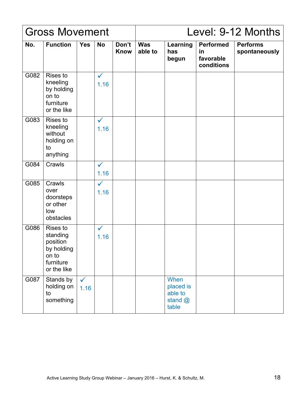|      | <b>Gross Movement</b>                                                               |                      |                      |                      |                       |                                                  |                                                   | Level: 9-12 Months               |
|------|-------------------------------------------------------------------------------------|----------------------|----------------------|----------------------|-----------------------|--------------------------------------------------|---------------------------------------------------|----------------------------------|
| No.  | <b>Function</b>                                                                     | <b>Yes</b>           | <b>No</b>            | Don't<br><b>Know</b> | <b>Was</b><br>able to | Learning<br>has<br>begun                         | <b>Performed</b><br>in<br>favorable<br>conditions | <b>Performs</b><br>spontaneously |
| G082 | <b>Rises to</b><br>kneeling<br>by holding<br>on to<br>furniture<br>or the like      |                      | $\checkmark$<br>1.16 |                      |                       |                                                  |                                                   |                                  |
| G083 | Rises to<br>kneeling<br>without<br>holding on<br>to<br>anything                     |                      | $\checkmark$<br>1.16 |                      |                       |                                                  |                                                   |                                  |
| G084 | Crawls                                                                              |                      | $\checkmark$<br>1.16 |                      |                       |                                                  |                                                   |                                  |
| G085 | Crawls<br>over<br>doorsteps<br>or other<br>low<br>obstacles                         |                      | $\checkmark$<br>1.16 |                      |                       |                                                  |                                                   |                                  |
| G086 | Rises to<br>standing<br>position<br>by holding<br>on to<br>furniture<br>or the like |                      | $\checkmark$<br>1.16 |                      |                       |                                                  |                                                   |                                  |
| G087 | Stands by<br>holding on<br>to<br>something                                          | $\checkmark$<br>1.16 |                      |                      |                       | When<br>placed is<br>able to<br>stand @<br>table |                                                   |                                  |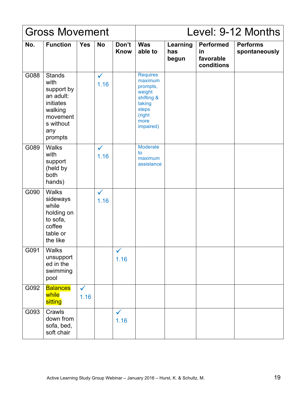|      | <b>Gross Movement</b>                                                                                               |                      |                      |                      |                                                                                                                  |                          |                                                   | Level: 9-12 Months               |
|------|---------------------------------------------------------------------------------------------------------------------|----------------------|----------------------|----------------------|------------------------------------------------------------------------------------------------------------------|--------------------------|---------------------------------------------------|----------------------------------|
| No.  | <b>Function</b>                                                                                                     | <b>Yes</b>           | <b>No</b>            | Don't<br><b>Know</b> | <b>Was</b><br>able to                                                                                            | Learning<br>has<br>begun | <b>Performed</b><br>in<br>favorable<br>conditions | <b>Performs</b><br>spontaneously |
| G088 | <b>Stands</b><br>with<br>support by<br>an adult:<br>initiates<br>walking<br>movement<br>s without<br>any<br>prompts |                      | $\checkmark$<br>1.16 |                      | <b>Requires</b><br>maximum<br>prompts,<br>weight<br>shifting &<br>taking<br>steps<br>(right<br>more<br>impaired) |                          |                                                   |                                  |
| G089 | <b>Walks</b><br>with<br>support<br>(held by<br>both<br>hands)                                                       |                      | $\checkmark$<br>1.16 |                      | Moderate<br>to<br>maximum<br>assistance                                                                          |                          |                                                   |                                  |
| G090 | <b>Walks</b><br>sideways<br>while<br>holding on<br>to sofa,<br>coffee<br>table or<br>the like                       |                      | $\checkmark$<br>1.16 |                      |                                                                                                                  |                          |                                                   |                                  |
| G091 | <b>Walks</b><br>unsupport<br>ed in the<br>swimming<br>pool                                                          |                      |                      | $\checkmark$<br>1.16 |                                                                                                                  |                          |                                                   |                                  |
| G092 | <b>Balances</b><br>while<br>sitting                                                                                 | $\checkmark$<br>1.16 |                      |                      |                                                                                                                  |                          |                                                   |                                  |
| G093 | Crawls<br>down from<br>sofa, bed,<br>soft chair                                                                     |                      |                      | $\checkmark$<br>1.16 |                                                                                                                  |                          |                                                   |                                  |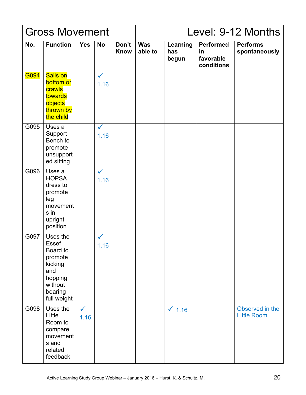|      | <b>Gross Movement</b>                                                                                             |                      |                      |                      |                       |                          |                                                   | Level: 9-12 Months                    |
|------|-------------------------------------------------------------------------------------------------------------------|----------------------|----------------------|----------------------|-----------------------|--------------------------|---------------------------------------------------|---------------------------------------|
| No.  | <b>Function</b>                                                                                                   | <b>Yes</b>           | <b>No</b>            | Don't<br><b>Know</b> | <b>Was</b><br>able to | Learning<br>has<br>begun | <b>Performed</b><br>in<br>favorable<br>conditions | <b>Performs</b><br>spontaneously      |
| G094 | Sails on<br>bottom or<br>crawls<br>towards<br>objects<br>thrown by<br>the child                                   |                      | $\checkmark$<br>1.16 |                      |                       |                          |                                                   |                                       |
| G095 | Uses a<br>Support<br>Bench to<br>promote<br>unsupport<br>ed sitting                                               |                      | $\checkmark$<br>1.16 |                      |                       |                          |                                                   |                                       |
| G096 | Uses a<br><b>HOPSA</b><br>dress to<br>promote<br>leg<br>movement<br>s in<br>upright<br>position                   |                      | $\checkmark$<br>1.16 |                      |                       |                          |                                                   |                                       |
| G097 | Uses the<br><b>Essef</b><br>Board to<br>promote<br>kicking<br>and<br>hopping<br>without<br>bearing<br>full weight |                      | 1.16                 |                      |                       |                          |                                                   |                                       |
| G098 | Uses the<br>Little<br>Room to<br>compare<br>movement<br>s and<br>related<br>feedback                              | $\checkmark$<br>1.16 |                      |                      |                       | $\times$ 1.16            |                                                   | Observed in the<br><b>Little Room</b> |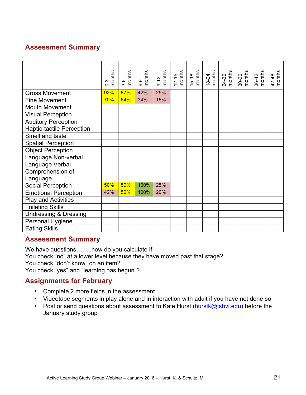# **Assessment Summary**

|                                  | months<br>$0 - 3$ | months<br>$3-6$ | $6-9$<br>months | $9-12$<br>months | $\begin{array}{c}\n 12 - 15 \\  15\n \end{array}$ | $\begin{array}{c}\n15-18 \\ \hline\n\end{array}$ | months<br>18-24 | $24-30$<br>months | $30-36$<br>months | $36-42$<br>months | months<br>42-48 |
|----------------------------------|-------------------|-----------------|-----------------|------------------|---------------------------------------------------|--------------------------------------------------|-----------------|-------------------|-------------------|-------------------|-----------------|
| <b>Gross Movement</b>            | 92%               | 87%             | 42%             | 25%              |                                                   |                                                  |                 |                   |                   |                   |                 |
| <b>Fine Movement</b>             | 70%               | 64%             | 34%             | 15%              |                                                   |                                                  |                 |                   |                   |                   |                 |
| <b>Mouth Movement</b>            |                   |                 |                 |                  |                                                   |                                                  |                 |                   |                   |                   |                 |
| <b>Visual Perception</b>         |                   |                 |                 |                  |                                                   |                                                  |                 |                   |                   |                   |                 |
| <b>Auditory Perception</b>       |                   |                 |                 |                  |                                                   |                                                  |                 |                   |                   |                   |                 |
| <b>Haptic-tactile Perception</b> |                   |                 |                 |                  |                                                   |                                                  |                 |                   |                   |                   |                 |
| Smell and taste                  |                   |                 |                 |                  |                                                   |                                                  |                 |                   |                   |                   |                 |
| <b>Spatial Perception</b>        |                   |                 |                 |                  |                                                   |                                                  |                 |                   |                   |                   |                 |
| <b>Object Perception</b>         |                   |                 |                 |                  |                                                   |                                                  |                 |                   |                   |                   |                 |
| Language Non-verbal              |                   |                 |                 |                  |                                                   |                                                  |                 |                   |                   |                   |                 |
| Language Verbal                  |                   |                 |                 |                  |                                                   |                                                  |                 |                   |                   |                   |                 |
| Comprehension of                 |                   |                 |                 |                  |                                                   |                                                  |                 |                   |                   |                   |                 |
| Language                         |                   |                 |                 |                  |                                                   |                                                  |                 |                   |                   |                   |                 |
| <b>Social Perception</b>         | 50%               | 50%             | 100%            | 25%              |                                                   |                                                  |                 |                   |                   |                   |                 |
| <b>Emotional Perception</b>      | 42%               | 50%             | 100%            | 20%              |                                                   |                                                  |                 |                   |                   |                   |                 |
| Play and Activities              |                   |                 |                 |                  |                                                   |                                                  |                 |                   |                   |                   |                 |
| <b>Toileting Skills</b>          |                   |                 |                 |                  |                                                   |                                                  |                 |                   |                   |                   |                 |
| <b>Undressing &amp; Dressing</b> |                   |                 |                 |                  |                                                   |                                                  |                 |                   |                   |                   |                 |
| Personal Hygiene                 |                   |                 |                 |                  |                                                   |                                                  |                 |                   |                   |                   |                 |
| <b>Eating Skills</b>             |                   |                 |                 |                  |                                                   |                                                  |                 |                   |                   |                   |                 |

#### **Assessment Summary**

We have questions…....how do you calculate if: You check "no" at a lower level because they have moved past that stage? You check "don't know" on an item? You check "yes" and "learning has begun"?

#### **Assignments for February**

- Complete 2 more fields in the assessment
- Videotape segments in play alone and in interaction with adult if you have not done so
- Post or send questions about assessment to Kate Hurst (hurstk@tsbvi.edu) before the January study group